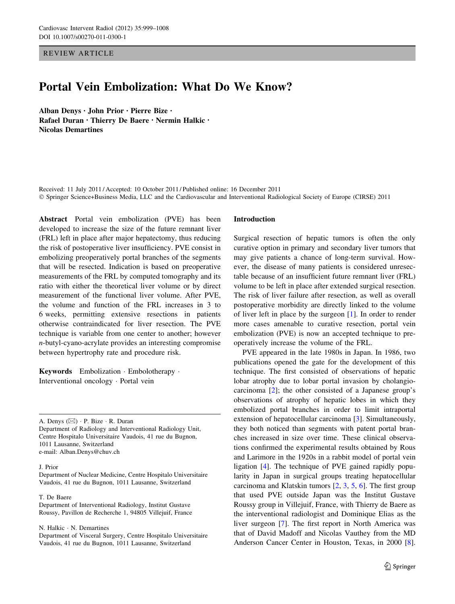REVIEW ARTICLE

# Portal Vein Embolization: What Do We Know?

Alban Denys • John Prior • Pierre Bize • Rafael Duran • Thierry De Baere • Nermin Halkic • Nicolas Demartines

Received: 11 July 2011 / Accepted: 10 October 2011 / Published online: 16 December 2011 - Springer Science+Business Media, LLC and the Cardiovascular and Interventional Radiological Society of Europe (CIRSE) 2011

Abstract Portal vein embolization (PVE) has been developed to increase the size of the future remnant liver (FRL) left in place after major hepatectomy, thus reducing the risk of postoperative liver insufficiency. PVE consist in embolizing preoperatively portal branches of the segments that will be resected. Indication is based on preoperative measurements of the FRL by computed tomography and its ratio with either the theoretical liver volume or by direct measurement of the functional liver volume. After PVE, the volume and function of the FRL increases in 3 to 6 weeks, permitting extensive resections in patients otherwise contraindicated for liver resection. The PVE technique is variable from one center to another; however n-butyl-cyano-acrylate provides an interesting compromise between hypertrophy rate and procedure risk.

Keywords Embolization - Embolotherapy - Interventional oncology - Portal vein

A. Denys ( $\boxtimes$ ) · P. Bize · R. Duran Department of Radiology and Interventional Radiology Unit, Centre Hospitalo Universitaire Vaudois, 41 rue du Bugnon, 1011 Lausanne, Switzerland e-mail: Alban.Denys@chuv.ch

#### J. Prior

Department of Nuclear Medicine, Centre Hospitalo Universitaire Vaudois, 41 rue du Bugnon, 1011 Lausanne, Switzerland

#### T. De Baere

Department of Interventional Radiology, Institut Gustave Roussy, Pavillon de Recherche 1, 94805 Villejuif, France

N. Halkic - N. Demartines

Department of Visceral Surgery, Centre Hospitalo Universitaire Vaudois, 41 rue du Bugnon, 1011 Lausanne, Switzerland

### Introduction

Surgical resection of hepatic tumors is often the only curative option in primary and secondary liver tumors that may give patients a chance of long-term survival. However, the disease of many patients is considered unresectable because of an insufficient future remnant liver (FRL) volume to be left in place after extended surgical resection. The risk of liver failure after resection, as well as overall postoperative morbidity are directly linked to the volume of liver left in place by the surgeon [[1\]](#page-7-0). In order to render more cases amenable to curative resection, portal vein embolization (PVE) is now an accepted technique to preoperatively increase the volume of the FRL.

PVE appeared in the late 1980s in Japan. In 1986, two publications opened the gate for the development of this technique. The first consisted of observations of hepatic lobar atrophy due to lobar portal invasion by cholangiocarcinoma [\[2](#page-7-0)]; the other consisted of a Japanese group's observations of atrophy of hepatic lobes in which they embolized portal branches in order to limit intraportal extension of hepatocellular carcinoma [[3\]](#page-7-0). Simultaneously, they both noticed than segments with patent portal branches increased in size over time. These clinical observations confirmed the experimental results obtained by Rous and Larimore in the 1920s in a rabbit model of portal vein ligation [\[4](#page-7-0)]. The technique of PVE gained rapidly popularity in Japan in surgical groups treating hepatocellular carcinoma and Klatskin tumors [\[2](#page-7-0), [3](#page-7-0), [5,](#page-7-0) [6](#page-7-0)]. The first group that used PVE outside Japan was the Institut Gustave Roussy group in Villejuif, France, with Thierry de Baere as the interventional radiologist and Dominique Elias as the liver surgeon [[7\]](#page-7-0). The first report in North America was that of David Madoff and Nicolas Vauthey from the MD Anderson Cancer Center in Houston, Texas, in 2000 [\[8](#page-7-0)].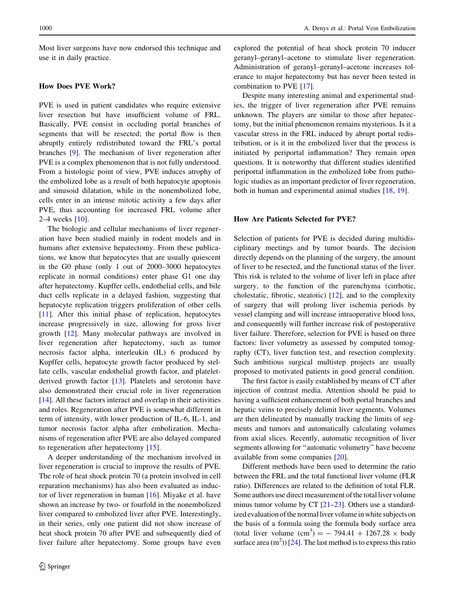Most liver surgeons have now endorsed this technique and use it in daily practice.

### How Does PVE Work?

PVE is used in patient candidates who require extensive liver resection but have insufficient volume of FRL. Basically, PVE consist in occluding portal branches of segments that will be resected; the portal flow is then abruptly entirely redistributed toward the FRL's portal branches [\[9](#page-7-0)]. The mechanism of liver regeneration after PVE is a complex phenomenon that is not fully understood. From a histologic point of view, PVE induces atrophy of the embolized lobe as a result of both hepatocyte apoptosis and sinusoid dilatation, while in the nonembolized lobe, cells enter in an intense mitotic activity a few days after PVE, thus accounting for increased FRL volume after 2–4 weeks [[10\]](#page-7-0).

The biologic and cellular mechanisms of liver regeneration have been studied mainly in rodent models and in humans after extensive hepatectomy. From these publications, we know that hepatocytes that are usually quiescent in the G0 phase (only 1 out of 2000–3000 hepatocytes replicate in normal conditions) enter phase G1 one day after hepatectomy. Kupffer cells, endothelial cells, and bile duct cells replicate in a delayed fashion, suggesting that hepatocyte replication triggers proliferation of other cells [\[11](#page-7-0)]. After this initial phase of replication, hepatocytes increase progressively in size, allowing for gross liver growth [[12\]](#page-7-0). Many molecular pathways are involved in liver regeneration after hepatectomy, such as tumor necrosis factor alpha, interleukin (IL) 6 produced by Kupffer cells, hepatocyte growth factor produced by stellate cells, vascular endothelial growth factor, and plateletderived growth factor [\[13](#page-7-0)]. Platelets and serotonin have also demonstrated their crucial role in liver regeneration [\[14](#page-7-0)]. All these factors interact and overlap in their activities and roles. Regeneration after PVE is somewhat different in term of intensity, with lower production of IL-6, IL-1, and tumor necrosis factor alpha after embolization. Mechanisms of regeneration after PVE are also delayed compared to regeneration after hepatectomy [\[15](#page-7-0)].

A deeper understanding of the mechanism involved in liver regeneration is crucial to improve the results of PVE. The role of heat shock protein 70 (a protein involved in cell reparation mechanisms) has also been evaluated as inductor of liver regeneration in human [[16\]](#page-7-0). Miyake et al. have shown an increase by two- or fourfold in the nonembolized liver compared to embolized liver after PVE. Interestingly, in their series, only one patient did not show increase of heat shock protein 70 after PVE and subsequently died of liver failure after hepatectomy. Some groups have even explored the potential of heat shock protein 70 inducer geranyl–geranyl–acetone to stimulate liver regeneration. Administration of geranyl–geranyl–acetone increases tolerance to major hepatectomy but has never been tested in combination to PVE [\[17](#page-7-0)].

Despite many interesting animal and experimental studies, the trigger of liver regeneration after PVE remains unknown. The players are similar to those after hepatectomy, but the initial phenomenon remains mysterious. Is it a vascular stress in the FRL induced by abrupt portal redistribution, or is it in the embolized liver that the process is initiated by periportal inflammation? They remain open questions. It is noteworthy that different studies identified periportal inflammation in the embolized lobe from pathologic studies as an important predictor of liver regeneration, both in human and experimental animal studies [\[18](#page-7-0), [19\]](#page-7-0).

#### How Are Patients Selected for PVE?

Selection of patients for PVE is decided during multidisciplinary meetings and by tumor boards. The decision directly depends on the planning of the surgery, the amount of liver to be resected, and the functional status of the liver. This risk is related to the volume of liver left in place after surgery, to the function of the parenchyma (cirrhotic, cholestatic, fibrotic, steatotic) [\[12](#page-7-0)], and to the complexity of surgery that will prolong liver ischemia periods by vessel clamping and will increase intraoperative blood loss, and consequently will further increase risk of postoperative liver failure. Therefore, selection for PVE is based on three factors: liver volumetry as assessed by computed tomography (CT), liver function test, and resection complexity. Such ambitious surgical multistep projects are usually proposed to motivated patients in good general condition.

The first factor is easily established by means of CT after injection of contrast media. Attention should be paid to having a sufficient enhancement of both portal branches and hepatic veins to precisely delimit liver segments. Volumes are then delineated by manually tracking the limits of segments and tumors and automatically calculating volumes from axial slices. Recently, automatic recognition of liver segments allowing for ''automatic volumetry'' have become available from some companies [[20\]](#page-7-0).

Different methods have been used to determine the ratio between the FRL and the total functional liver volume (FLR ratio). Differences are related to the definition of total FLR. Some authors use direct measurement of the total liver volume minus tumor volume by CT [[21–23](#page-8-0)]. Others use a standardized evaluation of the normal liver volume in white subjects on the basis of a formula using the formula body surface area (total liver volume  $(cm^3) = -794.41 + 1267.28 \times$  body surface area  $(m<sup>2</sup>)$  [\[24](#page-8-0)]. The last method is to express this ratio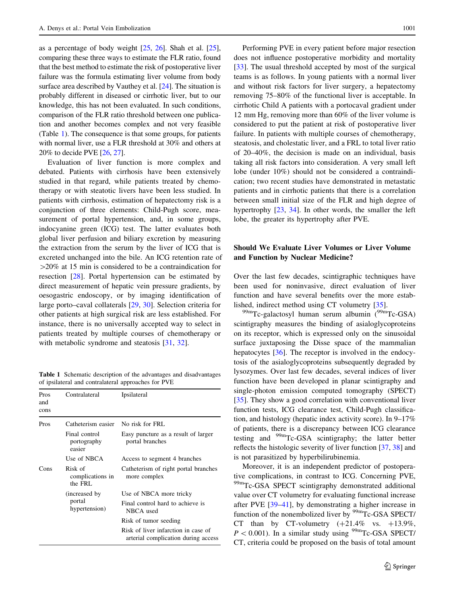<span id="page-2-0"></span>as a percentage of body weight  $[25, 26]$  $[25, 26]$  $[25, 26]$ . Shah et al.  $[25]$  $[25]$  $[25]$ . comparing these three ways to estimate the FLR ratio, found that the best method to estimate the risk of postoperative liver failure was the formula estimating liver volume from body surface area described by Vauthey et al. [[24](#page-8-0)]. The situation is probably different in diseased or cirrhotic liver, but to our knowledge, this has not been evaluated. In such conditions, comparison of the FLR ratio threshold between one publication and another becomes complex and not very feasible (Table 1). The consequence is that some groups, for patients with normal liver, use a FLR threshold at 30% and others at 20% to decide PVE [\[26,](#page-8-0) [27](#page-8-0)].

Evaluation of liver function is more complex and debated. Patients with cirrhosis have been extensively studied in that regard, while patients treated by chemotherapy or with steatotic livers have been less studied. In patients with cirrhosis, estimation of hepatectomy risk is a conjunction of three elements: Child-Pugh score, measurement of portal hypertension, and, in some groups, indocyanine green (ICG) test. The latter evaluates both global liver perfusion and biliary excretion by measuring the extraction from the serum by the liver of ICG that is excreted unchanged into the bile. An ICG retention rate of  $>$ 20% at 15 min is considered to be a contraindication for resection [[28\]](#page-8-0). Portal hypertension can be estimated by direct measurement of hepatic vein pressure gradients, by oesogastric endoscopy, or by imaging identification of large porto–caval collaterals [[29,](#page-8-0) [30](#page-8-0)]. Selection criteria for other patients at high surgical risk are less established. For instance, there is no universally accepted way to select in patients treated by multiple courses of chemotherapy or with metabolic syndrome and steatosis [\[31](#page-8-0), [32\]](#page-8-0).

Table 1 Schematic description of the advantages and disadvantages of ipsilateral and contralateral approaches for PVE

| Pros<br>and<br>cons | Contralateral                             | Ipsilateral                                                                |
|---------------------|-------------------------------------------|----------------------------------------------------------------------------|
| Pros                | Catheterism easier                        | No risk for FRL                                                            |
|                     | Final control<br>portography<br>easier    | Easy puncture as a result of larger<br>portal branches                     |
|                     | Use of NBCA                               | Access to segment 4 branches                                               |
| Cons                | Risk of<br>complications in<br>the FRL    | Catheterism of right portal branches<br>more complex                       |
|                     | (increased by)<br>portal<br>hypertension) | Use of NBCA more tricky                                                    |
|                     |                                           | Final control hard to achieve is<br>NBCA used                              |
|                     |                                           | Risk of tumor seeding                                                      |
|                     |                                           | Risk of liver infarction in case of<br>arterial complication during access |

Performing PVE in every patient before major resection does not influence postoperative morbidity and mortality [\[33](#page-8-0)]. The usual threshold accepted by most of the surgical teams is as follows. In young patients with a normal liver and without risk factors for liver surgery, a hepatectomy removing 75–80% of the functional liver is acceptable. In cirrhotic Child A patients with a portocaval gradient under 12 mm Hg, removing more than 60% of the liver volume is considered to put the patient at risk of postoperative liver failure. In patients with multiple courses of chemotherapy, steatosis, and cholestatic liver, and a FRL to total liver ratio of 20–40%, the decision is made on an individual, basis taking all risk factors into consideration. A very small left lobe (under 10%) should not be considered a contraindication; two recent studies have demonstrated in metastatic patients and in cirrhotic patients that there is a correlation between small initial size of the FLR and high degree of hypertrophy [\[23](#page-8-0), [34](#page-8-0)]. In other words, the smaller the left lobe, the greater its hypertrophy after PVE.

### Should We Evaluate Liver Volumes or Liver Volume and Function by Nuclear Medicine?

Over the last few decades, scintigraphic techniques have been used for noninvasive, direct evaluation of liver function and have several benefits over the more established, indirect method using CT volumetry [\[35](#page-8-0)].

 $^{99m}$ Tc-galactosyl human serum albumin ( $^{99m}$ Tc-GSA) scintigraphy measures the binding of asialoglycoproteins on its receptor, which is expressed only on the sinusoidal surface juxtaposing the Disse space of the mammalian hepatocytes [\[36](#page-8-0)]. The receptor is involved in the endocytosis of the asialoglycoproteins subsequently degraded by lysozymes. Over last few decades, several indices of liver function have been developed in planar scintigraphy and single-photon emission computed tomography (SPECT) [\[35](#page-8-0)]. They show a good correlation with conventional liver function tests, ICG clearance test, Child-Pugh classification, and histology (hepatic index activity score). In 9–17% of patients, there is a discrepancy between ICG clearance testing and 99mTc-GSA scintigraphy; the latter better reflects the histologic severity of liver function [\[37](#page-8-0), [38](#page-8-0)] and is not parasitized by hyperbilirubinemia.

Moreover, it is an independent predictor of postoperative complications, in contrast to ICG. Concerning PVE, <sup>99m</sup>Tc-GSA SPECT scintigraphy demonstrated additional value over CT volumetry for evaluating functional increase after PVE [[39–41\]](#page-8-0), by demonstrating a higher increase in function of the nonembolized liver by  $\rm{^{99m}Tc\text{-}GSA}$  SPECT/ CT than by CT-volumetry  $(+21.4\%$  vs.  $+13.9\%$ ,  $P < 0.001$ ). In a similar study using <sup>99m</sup>Tc-GSA SPECT/ CT, criteria could be proposed on the basis of total amount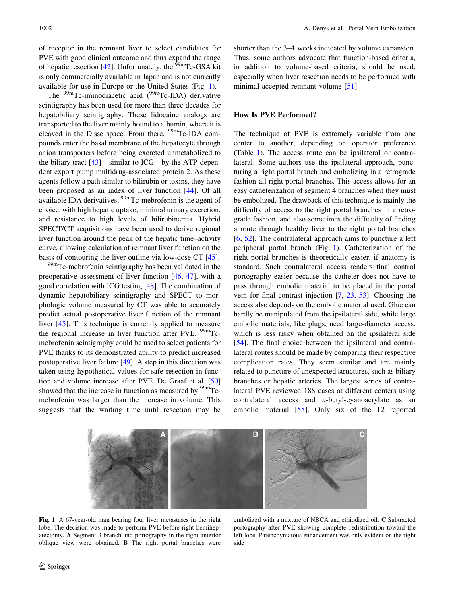<span id="page-3-0"></span>of receptor in the remnant liver to select candidates for PVE with good clinical outcome and thus expand the range of hepatic resection  $[42]$  $[42]$ . Unfortunately, the <sup>99m</sup>Tc-GSA kit is only commercially available in Japan and is not currently available for use in Europe or the United States (Fig. 1).

The  $^{99m}$ Tc-iminodiacetic acid ( $^{99m}$ Tc-IDA) derivative scintigraphy has been used for more than three decades for hepatobiliary scintigraphy. These lidocaine analogs are transported to the liver mainly bound to albumin, where it is cleaved in the Disse space. From there,  $\frac{99 \text{m}}{2}$ Tc-IDA compounds enter the basal membrane of the hepatocyte through anion transporters before being excreted unmetabolized to the biliary tract [[43\]](#page-8-0)—similar to ICG—by the ATP-dependent export pump multidrug-associated protein 2. As these agents follow a path similar to bilirubin or toxins, they have been proposed as an index of liver function [\[44](#page-8-0)]. Of all available IDA derivatives, <sup>99m</sup>Tc-mebrofenin is the agent of choice, with high hepatic uptake, minimal urinary excretion, and resistance to high levels of bilirubinemia. Hybrid SPECT/CT acquisitions have been used to derive regional liver function around the peak of the hepatic time–activity curve, allowing calculation of remnant liver function on the basis of contouring the liver outline via low-dose CT [\[45](#page-8-0)].

<sup>99m</sup>Tc-mebrofenin scintigraphy has been validated in the preoperative assessment of liver function [[46](#page-8-0), [47\]](#page-8-0), with a good correlation with ICG testing [[48\]](#page-8-0). The combination of dynamic hepatobiliary scintigraphy and SPECT to morphologic volume measured by CT was able to accurately predict actual postoperative liver function of the remnant liver [[45\]](#page-8-0). This technique is currently applied to measure the regional increase in liver function after PVE. <sup>99m</sup>Tcmebrofenin scintigraphy could be used to select patients for PVE thanks to its demonstrated ability to predict increased postoperative liver failure [[49\]](#page-8-0). A step in this direction was taken using hypothetical values for safe resection in function and volume increase after PVE. De Graaf et al. [[50\]](#page-8-0) showed that the increase in function as measured by  $\frac{99m}{Tc}$ mebrofenin was larger than the increase in volume. This suggests that the waiting time until resection may be shorter than the 3–4 weeks indicated by volume expansion. Thus, some authors advocate that function-based criteria, in addition to volume-based criteria, should be used, especially when liver resection needs to be performed with minimal accepted remnant volume [\[51](#page-8-0)].

### How Is PVE Performed?

The technique of PVE is extremely variable from one center to another, depending on operator preference (Table [1\)](#page-2-0). The access route can be ipsilateral or contralateral. Some authors use the ipsilateral approach, puncturing a right portal branch and embolizing in a retrograde fashion all right portal branches. This access allows for an easy catheterization of segment 4 branches when they must be embolized. The drawback of this technique is mainly the difficulty of access to the right portal branches in a retrograde fashion, and also sometimes the difficulty of finding a route through healthy liver to the right portal branches [\[6](#page-7-0), [52](#page-8-0)]. The contralateral approach aims to puncture a left peripheral portal branch (Fig. 1). Catheterization of the right portal branches is theoretically easier, if anatomy is standard. Such contralateral access renders final control portography easier because the catheter does not have to pass through embolic material to be placed in the portal vein for final contrast injection [\[7](#page-7-0), [23,](#page-8-0) [53](#page-8-0)]. Choosing the access also depends on the embolic material used. Glue can hardly be manipulated from the ipsilateral side, while large embolic materials, like plugs, need large-diameter access, which is less risky when obtained on the ipsilateral side [\[54](#page-8-0)]. The final choice between the ipsilateral and contralateral routes should be made by comparing their respective complication rates. They seem similar and are mainly related to puncture of unexpected structures, such as biliary branches or hepatic arteries. The largest series of contralateral PVE reviewed 188 cases at different centers using contralateral access and n-butyl-cyanoacrylate as an embolic material [\[55](#page-8-0)]. Only six of the 12 reported



Fig. 1 A 67-year-old man bearing four liver metastases in the right lobe. The decision was made to perform PVE before right hemihepatectomy. A Segment 3 branch and portography in the right anterior oblique view were obtained. B The right portal branches were

embolized with a mixture of NBCA and ethiodized oil. C Subtracted portography after PVE showing complete redistribution toward the left lobe. Parenchymatous enhancement was only evident on the right side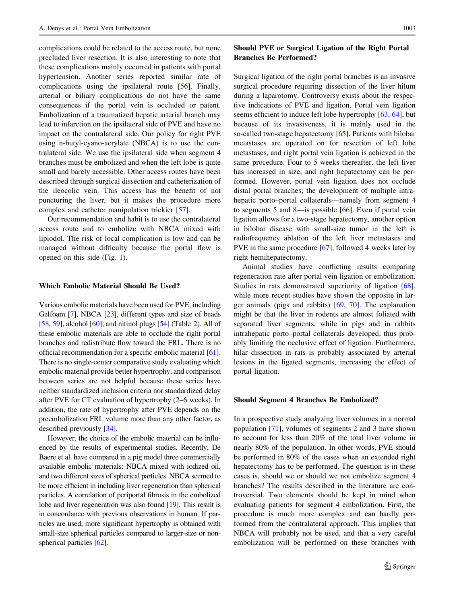complications could be related to the access route, but none precluded liver resection. It is also interesting to note that these complications mainly occurred in patients with portal hypertension. Another series reported similar rate of complications using the ipsilateral route [\[56](#page-8-0)]. Finally, arterial or biliary complications do not have the same consequences if the portal vein is occluded or patent. Embolization of a traumatized hepatic arterial branch may lead to infarction on the ipsilateral side of PVE and have no impact on the contralateral side. Our policy for right PVE using n-butyl-cyano-acrylate (NBCA) is to use the contralateral side. We use the ipsilateral side when segment 4 branches must be embolized and when the left lobe is quite small and barely accessible. Other access routes have been described through surgical dissection and catheterization of the ileocolic vein. This access has the benefit of not puncturing the liver, but it makes the procedure more complex and catheter manipulation trickier [[57\]](#page-8-0).

Our recommendation and habit is to use the contralateral access route and to embolize with NBCA mixed with lipiodol. The risk of local complication is low and can be managed without difficulty because the portal flow is opened on this side (Fig. [1](#page-3-0)).

### Which Embolic Material Should Be Used?

Various embolic materials have been used for PVE, including Gelfoam [\[7\]](#page-7-0), NBCA [[23](#page-8-0)], different types and size of beads [\[58](#page-9-0), [59](#page-9-0)], alcohol [[60\]](#page-9-0), and nitinol plugs [\[54](#page-8-0)] (Table [2](#page-5-0)). All of these embolic materials are able to occlude the right portal branches and redistribute flow toward the FRL. There is no official recommendation for a specific embolic material [[61](#page-9-0)]. There is no single-center comparative study evaluating which embolic material provide better hypertrophy, and comparison between series are not helpful because these series have neither standardized inclusion criteria nor standardized delay after PVE for CT evaluation of hypertrophy (2–6 weeks). In addition, the rate of hypertrophy after PVE depends on the preembolization FRL volume more than any other factor, as described previously [[34](#page-8-0)].

However, the choice of the embolic material can be influenced by the results of experimental studies. Recently, De Baere et al. have compared in a pig model three commercially available embolic materials: NBCA mixed with iodized oil, and two different sizes of spherical particles. NBCA seemed to be more efficient in including liver regeneration than spherical particles. A correlation of periportal fibrosis in the embolized lobe and liver regeneration was also found [\[19\]](#page-7-0). This result is in concordance with previous observations in human. If particles are used, more significant hypertrophy is obtained with small-size spherical particles compared to larger-size or nonspherical particles [[62](#page-9-0)].

### Should PVE or Surgical Ligation of the Right Portal Branches Be Performed?

Surgical ligation of the right portal branches is an invasive surgical procedure requiring dissection of the liver hilum during a laparotomy. Controversy exists about the respective indications of PVE and ligation. Portal vein ligation seems efficient to induce left lobe hypertrophy [\[63](#page-9-0), [64](#page-9-0)], but because of its invasiveness, it is mainly used in the so-called two-stage hepatectomy [\[65](#page-9-0)]. Patients with bilobar metastases are operated on for resection of left lobe metastases, and right portal vein ligation is achieved in the same procedure. Four to 5 weeks thereafter, the left liver has increased in size, and right hepatectomy can be performed. However, portal vein ligation does not occlude distal portal branches; the development of multiple intrahepatic porto–portal collaterals—namely from segment 4 to segments 5 and 8—is possible [[66\]](#page-9-0). Even if portal vein ligation allows for a two-stage hepatectomy, another option in bilobar disease with small-size tumor in the left is radiofrequency ablation of the left liver metastases and PVE in the same procedure [[67\]](#page-9-0), followed 4 weeks later by right hemihepatectomy.

Animal studies have conflicting results comparing regeneration rate after portal vein ligation or embolization. Studies in rats demonstrated superiority of ligation [\[68](#page-9-0)], while more recent studies have shown the opposite in larger animals (pigs and rabbits) [\[69](#page-9-0), [70](#page-9-0)]. The explanation might be that the liver in rodents are almost foliated with separated liver segments, while in pigs and in rabbits intrahepatic porto–portal collaterals developed, thus probably limiting the occlusive effect of ligation. Furthermore, hilar dissection in rats is probably associated by arterial lesions in the ligated segments, increasing the effect of portal ligation.

#### Should Segment 4 Branches Be Embolized?

In a prospective study analyzing liver volumes in a normal population [\[71](#page-9-0)], volumes of segments 2 and 3 have shown to account for less than 20% of the total liver volume in nearly 80% of the population. In other words, PVE should be performed in 80% of the cases when an extended right hepatectomy has to be performed. The question is in these cases is, should we or should we not embolize segment 4 branches? The results described in the literature are controversial. Two elements should be kept in mind when evaluating patients for segment 4 embolization. First, the procedure is much more complex and can hardly performed from the contralateral approach. This implies that NBCA will probably not be used, and that a very careful embolization will be performed on these branches with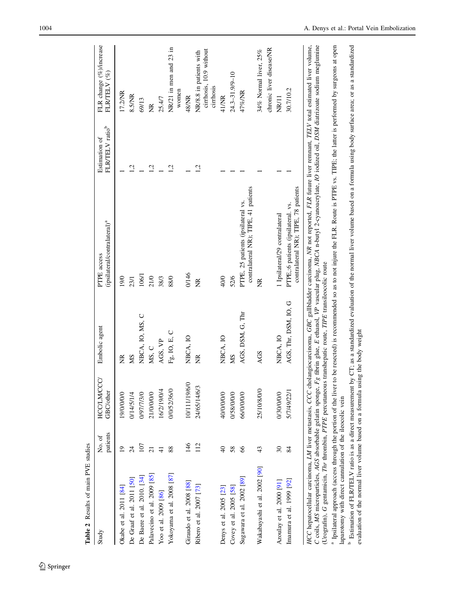<span id="page-5-0"></span>

| Study                                                                                                    | patients<br>No. of | <b>HCC/LM/CCC/</b><br>GBC/other | Embolic agent        | (ipsilateral/contralateral) <sup>a</sup><br>PTPE access                                                                                                                                                                                                                                                                                                                       | FLR/TELV ratio <sup>b</sup><br>Estimation of | FLR change (%)/increase<br>FLRTELV <sup>(%)</sup>               |
|----------------------------------------------------------------------------------------------------------|--------------------|---------------------------------|----------------------|-------------------------------------------------------------------------------------------------------------------------------------------------------------------------------------------------------------------------------------------------------------------------------------------------------------------------------------------------------------------------------|----------------------------------------------|-----------------------------------------------------------------|
| Okabe et al. 2011 [84]                                                                                   | $\overline{1}$     | 19/0/0/0/0                      | Ĕ                    | 19/0                                                                                                                                                                                                                                                                                                                                                                          |                                              | 17.2/NR                                                         |
| De Graaf et al. 2011 [50]                                                                                | $\overline{24}$    | 0/14/5/1/4                      | SM                   | 23/1                                                                                                                                                                                                                                                                                                                                                                          | $\ddot{5}$                                   | 8.5/NR                                                          |
| De Baere et al. 2010. [34]                                                                               | 107                | 0/97/7/3/0                      | NBCA, IO, MS, C      | 106/1                                                                                                                                                                                                                                                                                                                                                                         |                                              | 69/13                                                           |
| Palavecino et al. 2009 [85]                                                                              | $\overline{21}$    | 21/0/0/0/0                      | MS, C                | 21/0                                                                                                                                                                                                                                                                                                                                                                          | Ċ                                            | g                                                               |
| Yoo et al. 2009 [86]                                                                                     |                    | 16/2/19/0/4                     | AGS, VP              | 38/3                                                                                                                                                                                                                                                                                                                                                                          |                                              | 25.4/7                                                          |
| Yokoyama et al. 2008 [87]                                                                                | 88                 | 0/0/52/36/0                     | Fg. IO, E, C         | 88/0                                                                                                                                                                                                                                                                                                                                                                          | $\overline{c}$                               | NR/21 in men and 23 in                                          |
|                                                                                                          |                    |                                 |                      |                                                                                                                                                                                                                                                                                                                                                                               |                                              | women                                                           |
| Giraudo et al. 2008 [88]                                                                                 | 146                | 10/111/19/6/0                   | NBCA, IO             | 0/146                                                                                                                                                                                                                                                                                                                                                                         |                                              | 48/NR                                                           |
| Ribero et al. 2007 [73]                                                                                  | 112                | 24/65/14/6/3                    | Ĕ                    | Ĕ                                                                                                                                                                                                                                                                                                                                                                             | $\overline{c}$                               | cirrhosis, 10.9 without<br>NR/8.8 in patients with<br>cirrhosis |
| Denys et al. 2005 [23]                                                                                   | $\overline{40}$    | 40/0/0/0/0                      | NBCA, IO             | 40/0                                                                                                                                                                                                                                                                                                                                                                          |                                              | 41/NR                                                           |
| Covey et al. 2005 [58]                                                                                   | 58                 | 0/58/0/0/0                      | SM                   | 52/6                                                                                                                                                                                                                                                                                                                                                                          |                                              | 24.3-31.9/9-10                                                  |
| Sugawara et al. 2002 [89]                                                                                | 66                 | 66/0/0/0/0                      | AGS, DSM, G, Thr     | contralateral NR); TIPE, 41 patients<br>PTPE, 25 patients (ipsilateral vs.                                                                                                                                                                                                                                                                                                    |                                              | 47%/NR                                                          |
| Wakabayashi et al. 2002 [90]                                                                             | 43                 | 25/10/8/0/0                     | AGS                  | ž                                                                                                                                                                                                                                                                                                                                                                             |                                              | 34% Normal liver, 25%                                           |
|                                                                                                          |                    |                                 |                      |                                                                                                                                                                                                                                                                                                                                                                               |                                              | chronic liver disease/NR                                        |
| Azoulay et al. 2000 [91]                                                                                 | 30                 | 0/30/0/0/0                      | NBCA, IO             | 1 Ipsilateral/29 contralateral                                                                                                                                                                                                                                                                                                                                                |                                              | NR/11                                                           |
| Imamura et al. $1999$ $[92]$                                                                             | 84                 | 5/7/49/22/1                     | AGS, Thr, DSM, IO, G | contralateral NR); TIPE, 78 patients<br>PTPE,:6 patients (ipsilateral. vs.                                                                                                                                                                                                                                                                                                    |                                              | 30.7/10.2                                                       |
| (Urografin), G gentamicin, Thr thrombin, PTPE percutaneous transhepatic route, TIPE transileocolic route |                    |                                 |                      | C coils, MS microparticles, AGS absorbable gelatin sponge, Fg fibrin glue, E ethanol, VP vascular plug, NBCA n-butyl 2-cyanoacrylate, IO iodized oil, DSM diatrizoate sodium meglumine<br>HCC hepatocellular carcinoma, LM liver metastasis, CCC cholangiocarcinoma, GBC gallbladder carcinoma, NR not reported, FLR future liver remnant, TELV total estimated liver volume, |                                              |                                                                 |
| laparotomy with direct cannulation of the ileocolic vein                                                 |                    |                                 |                      | <sup>a</sup> Ipsilateral approach (access through the portion of the liver to be resected) is recommended so as to not injure the FLR. Route is PTPE vs. TIPE; the latter is performed by surgeons at open                                                                                                                                                                    |                                              |                                                                 |

<sup>b</sup> Estimation of FLR/TELV ratio is as a direct measurement by CT; as a standardized evaluation of the normal liver volume based on a formula using body surface area; or as a standardized evaluation of the normal liver vol Estimation of FLR/TELV ratio is as a direct measurement by CT; as a standardized evaluation of the normal liver volume based on a formula using body surface area; or as a standardized

evaluation of the normal liver volume based on a formula using the body weight

## $\underline{\textcircled{\tiny 2}}$  Springer

Table 2 Results of main PVE studies

Table 2 Results of main PVE studies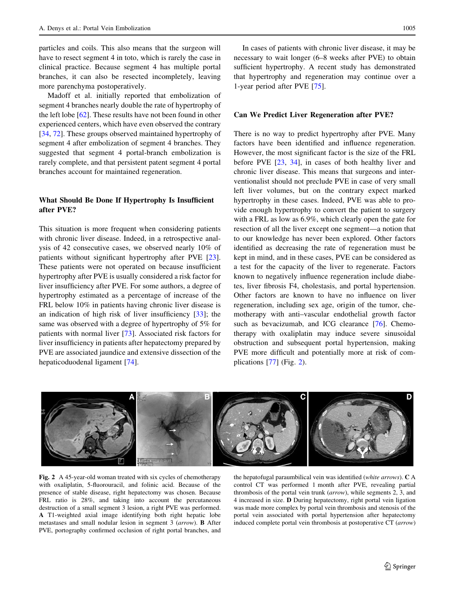particles and coils. This also means that the surgeon will have to resect segment 4 in toto, which is rarely the case in clinical practice. Because segment 4 has multiple portal branches, it can also be resected incompletely, leaving more parenchyma postoperatively.

Madoff et al. initially reported that embolization of segment 4 branches nearly double the rate of hypertrophy of the left lobe [[62\]](#page-9-0). These results have not been found in other experienced centers, which have even observed the contrary [\[34](#page-8-0), [72](#page-9-0)]. These groups observed maintained hypertrophy of segment 4 after embolization of segment 4 branches. They suggested that segment 4 portal-branch embolization is rarely complete, and that persistent patent segment 4 portal branches account for maintained regeneration.

### What Should Be Done If Hypertrophy Is Insufficient after PVE?

This situation is more frequent when considering patients with chronic liver disease. Indeed, in a retrospective analysis of 42 consecutive cases, we observed nearly 10% of patients without significant hypertrophy after PVE [\[23](#page-8-0)]. These patients were not operated on because insufficient hypertrophy after PVE is usually considered a risk factor for liver insufficiency after PVE. For some authors, a degree of hypertrophy estimated as a percentage of increase of the FRL below 10% in patients having chronic liver disease is an indication of high risk of liver insufficiency [[33\]](#page-8-0); the same was observed with a degree of hypertrophy of 5% for patients with normal liver [[73\]](#page-9-0). Associated risk factors for liver insufficiency in patients after hepatectomy prepared by PVE are associated jaundice and extensive dissection of the hepaticoduodenal ligament [[74\]](#page-9-0).

In cases of patients with chronic liver disease, it may be necessary to wait longer (6–8 weeks after PVE) to obtain sufficient hypertrophy. A recent study has demonstrated that hypertrophy and regeneration may continue over a 1-year period after PVE [\[75](#page-9-0)].

#### Can We Predict Liver Regeneration after PVE?

There is no way to predict hypertrophy after PVE. Many factors have been identified and influence regeneration. However, the most significant factor is the size of the FRL before PVE [[23,](#page-8-0) [34\]](#page-8-0), in cases of both healthy liver and chronic liver disease. This means that surgeons and interventionalist should not preclude PVE in case of very small left liver volumes, but on the contrary expect marked hypertrophy in these cases. Indeed, PVE was able to provide enough hypertrophy to convert the patient to surgery with a FRL as low as 6.9%, which clearly open the gate for resection of all the liver except one segment—a notion that to our knowledge has never been explored. Other factors identified as decreasing the rate of regeneration must be kept in mind, and in these cases, PVE can be considered as a test for the capacity of the liver to regenerate. Factors known to negatively influence regeneration include diabetes, liver fibrosis F4, cholestasis, and portal hypertension. Other factors are known to have no influence on liver regeneration, including sex age, origin of the tumor, chemotherapy with anti–vascular endothelial growth factor such as bevacizumab, and ICG clearance [\[76](#page-9-0)]. Chemotherapy with oxaliplatin may induce severe sinusoidal obstruction and subsequent portal hypertension, making PVE more difficult and potentially more at risk of complications [[77\]](#page-9-0) (Fig. 2).



Fig. 2 A 45-year-old woman treated with six cycles of chemotherapy with oxaliplatin, 5-fluorouracil, and folinic acid. Because of the presence of stable disease, right hepatectomy was chosen. Because FRL ratio is 28%, and taking into account the percutaneous destruction of a small segment 3 lesion, a right PVE was performed. A T1-weighted axial image identifying both right hepatic lobe metastases and small nodular lesion in segment 3 (arrow). B After PVE, portography confirmed occlusion of right portal branches, and

the hepatofugal paraumbilical vein was identified (white arrows). C A control CT was performed 1 month after PVE, revealing partial thrombosis of the portal vein trunk (arrow), while segments 2, 3, and 4 increased in size. D During hepatectomy, right portal vein ligation was made more complex by portal vein thrombosis and stenosis of the portal vein associated with portal hypertension after hepatectomy induced complete portal vein thrombosis at postoperative CT (arrow)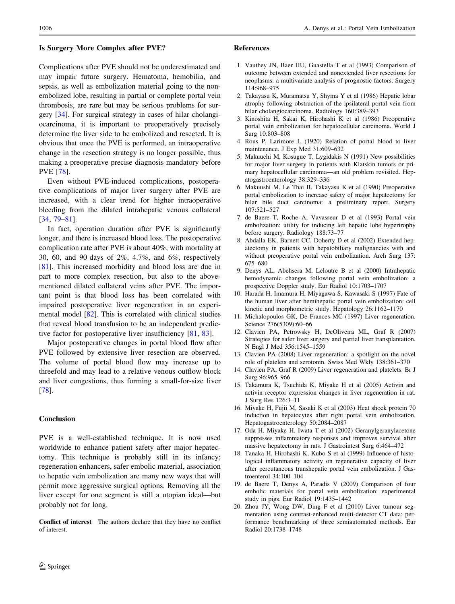### <span id="page-7-0"></span>Is Surgery More Complex after PVE?

Complications after PVE should not be underestimated and may impair future surgery. Hematoma, hemobilia, and sepsis, as well as embolization material going to the nonembolized lobe, resulting in partial or complete portal vein thrombosis, are rare but may be serious problems for surgery [[34](#page-8-0)]. For surgical strategy in cases of hilar cholangiocarcinoma, it is important to preoperatively precisely determine the liver side to be embolized and resected. It is obvious that once the PVE is performed, an intraoperative change in the resection strategy is no longer possible, thus making a preoperative precise diagnosis mandatory before PVE [\[78](#page-9-0)].

Even without PVE-induced complications, postoperative complications of major liver surgery after PVE are increased, with a clear trend for higher intraoperative bleeding from the dilated intrahepatic venous collateral [\[34](#page-8-0), [79–81](#page-9-0)].

In fact, operation duration after PVE is significantly longer, and there is increased blood loss. The postoperative complication rate after PVE is about 40%, with mortality at 30, 60, and 90 days of 2%, 4.7%, and 6%, respectively [\[81](#page-9-0)]. This increased morbidity and blood loss are due in part to more complex resection, but also to the abovementioned dilated collateral veins after PVE. The important point is that blood loss has been correlated with impaired postoperative liver regeneration in an experimental model [\[82](#page-9-0)]. This is correlated with clinical studies that reveal blood transfusion to be an independent predictive factor for postoperative liver insufficiency [\[81](#page-9-0), [83](#page-9-0)].

Major postoperative changes in portal blood flow after PVE followed by extensive liver resection are observed. The volume of portal blood flow may increase up to threefold and may lead to a relative venous outflow block and liver congestions, thus forming a small-for-size liver [\[78](#page-9-0)].

### Conclusion

PVE is a well-established technique. It is now used worldwide to enhance patient safety after major hepatectomy. This technique is probably still in its infancy; regeneration enhancers, safer embolic material, association to hepatic vein embolization are many new ways that will permit more aggressive surgical options. Removing all the liver except for one segment is still a utopian ideal—but probably not for long.

Conflict of interest The authors declare that they have no conflict of interest.

#### References

- 1. Vauthey JN, Baer HU, Guastella T et al (1993) Comparison of outcome between extended and nonextended liver resections for neoplasms: a multivariate analysis of prognostic factors. Surgery 114:968–975
- 2. Takayasu K, Muramatsu Y, Shyma Y et al (1986) Hepatic lobar atrophy following obstruction of the ipsilateral portal vein from hilar cholangiocarcinoma. Radiology 160:389–393
- 3. Kinoshita H, Sakai K, Hirohashi K et al (1986) Preoperative portal vein embolization for hepatocellular carcinoma. World J Surg 10:803–808
- 4. Rous P, Larimore L (1920) Relation of portal blood to liver maintenance. J Exp Med 31:609–632
- 5. Makuuchi M, Kosugue T, Lygidakis N (1991) New possibilities for major liver surgery in patients with Klatskin tumors or primary hepatocellular carcinoma—an old problem revisited. Hepatogastroenterology 38:329–336
- 6. Makuushi M, Le Thai B, Takayasu K et al (1990) Preoperative portal embolization to increase safety of major hepatectomy for hilar bile duct carcinoma: a preliminary report. Surgery 107:521–527
- 7. de Baere T, Roche A, Vavasseur D et al (1993) Portal vein embolization: utility for inducing left hepatic lobe hypertrophy before surgery. Radiology 188:73–77
- 8. Abdalla EK, Barnett CC, Doherty D et al (2002) Extended hepatectomy in patients with hepatobiliary malignancies with and without preoperative portal vein embolization. Arch Surg 137: 675–680
- 9. Denys AL, Abehsera M, Leloutre B et al (2000) Intrahepatic hemodynamic changes following portal vein embolization: a prospective Doppler study. Eur Radiol 10:1703–1707
- 10. Harada H, Imamura H, Miyagawa S, Kawasaki S (1997) Fate of the human liver after hemihepatic portal vein embolization: cell kinetic and morphometric study. Hepatology 26:1162–1170
- 11. Michalopoulos GK, De Frances MC (1997) Liver regeneration. Science 276(5309):60–66
- 12. Clavien PA, Petrowsky H, DeOliveira ML, Graf R (2007) Strategies for safer liver surgery and partial liver transplantation. N Engl J Med 356:1545–1559
- 13. Clavien PA (2008) Liver regeneration: a spotlight on the novel role of platelets and serotonin. Swiss Med Wkly 138:361–370
- 14. Clavien PA, Graf R (2009) Liver regeneration and platelets. Br J Surg 96:965–966
- 15. Takamura K, Tsuchida K, Miyake H et al (2005) Activin and activin receptor expression changes in liver regeneration in rat. J Surg Res 126:3–11
- 16. Miyake H, Fujii M, Sasaki K et al (2003) Heat shock protein 70 induction in hepatocytes after right portal vein embolization. Hepatogastroenterology 50:2084–2087
- 17. Oda H, Miyake H, Iwata T et al (2002) Geranylgeranylacetone suppresses inflammatory responses and improves survival after massive hepatectomy in rats. J Gastrointest Surg 6:464–472
- 18. Tanaka H, Hirohashi K, Kubo S et al (1999) Influence of histological inflammatory activity on regenerative capacity of liver after percutaneous transhepatic portal vein embolization. J Gastroenterol 34:100–104
- 19. de Baere T, Denys A, Paradis V (2009) Comparison of four embolic materials for portal vein embolization: experimental study in pigs. Eur Radiol 19:1435–1442
- 20. Zhou JY, Wong DW, Ding F et al (2010) Liver tumour segmentation using contrast-enhanced multi-detector CT data: performance benchmarking of three semiautomated methods. Eur Radiol 20:1738–1748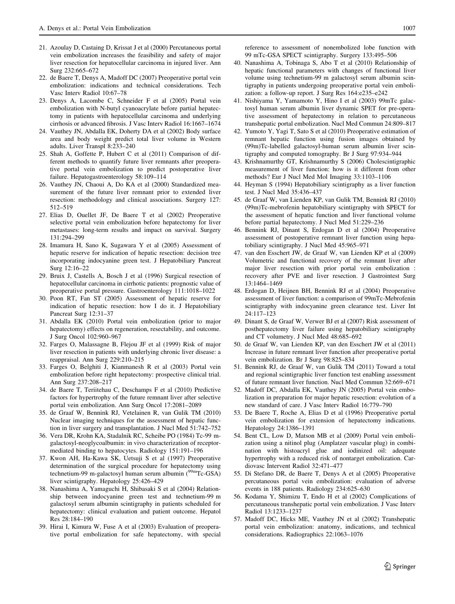- <span id="page-8-0"></span>21. Azoulay D, Castaing D, Krissat J et al (2000) Percutaneous portal vein embolization increases the feasibility and safety of major liver resection for hepatocellular carcinoma in injured liver. Ann Surg 232:665–672
- 22. de Baere T, Denys A, Madoff DC (2007) Preoperative portal vein embolization: indications and technical considerations. Tech Vasc Interv Radiol 10:67–78
- 23. Denys A, Lacombe C, Schneider F et al (2005) Portal vein embolization with N-butyl cyanoacrylate before partial hepatectomy in patients with hepatocellular carcinoma and underlying cirrhosis or advanced fibrosis. J Vasc Interv Radiol 16:1667–1674
- 24. Vauthey JN, Abdalla EK, Doherty DA et al (2002) Body surface area and body weight predict total liver volume in Western adults. Liver Transpl 8:233–240
- 25. Shah A, Goffette P, Hubert C et al (2011) Comparison of different methods to quantify future liver remnants after preoperative portal vein embolization to predict postoperative liver failure. Hepatogastroenterology 58:109–114
- 26. Vauthey JN, Chaoui A, Do KA et al (2000) Standardized measurement of the future liver remnant prior to extended liver resection: methodology and clinical associations. Surgery 127: 512–519
- 27. Elias D, Ouellet JF, De Baere T et al (2002) Preoperative selective portal vein embolization before hepatectomy for liver metastases: long-term results and impact on survival. Surgery 131:294–299
- 28. Imamura H, Sano K, Sugawara Y et al (2005) Assessment of hepatic reserve for indication of hepatic resection: decision tree incorporating indocyanine green test. J Hepatobiliary Pancreat Surg 12:16–22
- 29. Bruix J, Castells A, Bosch J et al (1996) Surgical resection of hepatocellular carcinoma in cirrhotic patients: prognostic value of preoperative portal pressure. Gastroenterology 111:1018–1022
- 30. Poon RT, Fan ST (2005) Assessment of hepatic reserve for indication of hepatic resection: how I do it. J Hepatobiliary Pancreat Surg 12:31–37
- 31. Abdalla EK (2010) Portal vein embolization (prior to major hepatectomy) effects on regeneration, resectability, and outcome. J Surg Oncol 102:960–967
- 32. Farges O, Malassagne B, Flejou JF et al (1999) Risk of major liver resection in patients with underlying chronic liver disease: a reappraisal. Ann Surg 229:210–215
- 33. Farges O, Belghiti J, Kianmanesh R et al (2003) Portal vein embolization before right hepatectomy: prospective clinical trial. Ann Surg 237:208–217
- 34. de Baere T, Teriitehau C, Deschamps F et al (2010) Predictive factors for hypertrophy of the future remnant liver after selective portal vein embolization. Ann Surg Oncol 17:2081–2089
- 35. de Graaf W, Bennink RJ, Vetelainen R, van Gulik TM (2010) Nuclear imaging techniques for the assessment of hepatic function in liver surgery and transplantation. J Nucl Med 51:742–752
- 36. Vera DR, Krohn KA, Stadalnik RC, Scheibe PO (1984) Tc-99 mgalactosyl-neoglycoalbumin: in vivo characterization of receptormediated binding to hepatocytes. Radiology 151:191–196
- 37. Kwon AH, Ha-Kawa SK, Uetsuji S et al (1997) Preoperative determination of the surgical procedure for hepatectomy using technetium-99 m-galactosyl human serum albumin  $(^{99}$ m $Tc-GSA)$ liver scintigraphy. Hepatology 25:426–429
- 38. Nanashima A, Yamaguchi H, Shibasaki S et al (2004) Relationship between indocyanine green test and technetium-99 m galactosyl serum albumin scintigraphy in patients scheduled for hepatectomy: clinical evaluation and patient outcome. Hepatol Res 28:184–190
- 39. Hirai I, Kimura W, Fuse A et al (2003) Evaluation of preoperative portal embolization for safe hepatectomy, with special

reference to assessment of nonembolized lobe function with 99 mTc-GSA SPECT scintigraphy. Surgery 133:495–506

- 40. Nanashima A, Tobinaga S, Abo T et al (2010) Relationship of hepatic functional parameters with changes of functional liver volume using technetium-99 m galactosyl serum albumin scintigraphy in patients undergoing preoperative portal vein embolization: a follow-up report. J Surg Res 164:e235–e242
- 41. Nishiyama Y, Yamamoto Y, Hino I et al (2003) 99mTc galactosyl human serum albumin liver dynamic SPET for pre-operative assessment of hepatectomy in relation to percutaneous transhepatic portal embolization. Nucl Med Commun 24:809–817
- 42. Yumoto Y, Yagi T, Sato S et al (2010) Preoperative estimation of remnant hepatic function using fusion images obtained by (99m)Tc-labelled galactosyl-human serum albumin liver scintigraphy and computed tomography. Br J Surg 97:934–944
- 43. Krishnamurthy GT, Krishnamurthy S (2006) Cholescintigraphic measurement of liver function: how is it different from other methods? Eur J Nucl Med Mol Imaging 33:1103–1106
- 44. Heyman S (1994) Hepatobiliary scintigraphy as a liver function test. J Nucl Med 35:436–437
- 45. de Graaf W, van Lienden KP, van Gulik TM, Bennink RJ (2010) (99m)Tc-mebrofenin hepatobiliary scintigraphy with SPECT for the assessment of hepatic function and liver functional volume before partial hepatectomy. J Nucl Med 51:229–236
- 46. Bennink RJ, Dinant S, Erdogan D et al (2004) Preoperative assessment of postoperative remnant liver function using hepatobiliary scintigraphy. J Nucl Med 45:965–971
- 47. van den Esschert JW, de Graaf W, van Lienden KP et al (2009) Volumetric and functional recovery of the remnant liver after major liver resection with prior portal vein embolization : recovery after PVE and liver resection. J Gastrointest Surg 13:1464–1469
- 48. Erdogan D, Heijnen BH, Bennink RJ et al (2004) Preoperative assessment of liver function: a comparison of 99mTc-Mebrofenin scintigraphy with indocyanine green clearance test. Liver Int 24:117–123
- 49. Dinant S, de Graaf W, Verwer BJ et al (2007) Risk assessment of posthepatectomy liver failure using hepatobiliary scintigraphy and CT volumetry. J Nucl Med 48:685–692
- 50. de Graaf W, van Lienden KP, van den Esschert JW et al (2011) Increase in future remnant liver function after preoperative portal vein embolization. Br J Surg 98:825–834
- 51. Bennink RJ, de Graaf W, van Gulik TM (2011) Toward a total and regional scintigraphic liver function test enabling assessment of future remnant liver function. Nucl Med Commun 32:669–671
- 52. Madoff DC, Abdalla EK, Vauthey JN (2005) Portal vein embolization in preparation for major hepatic resection: evolution of a new standard of care. J Vasc Interv Radiol 16:779–790
- 53. De Baere T, Roche A, Elias D et al (1996) Preoperative portal vein embolization for extension of hepatectomy indications. Hepatology 24:1386–1391
- 54. Bent CL, Low D, Matson MB et al (2009) Portal vein embolization using a nitinol plug (Amplatzer vascular plug) in combination with histoacryl glue and iodinized oil: adequate hypertrophy with a reduced risk of nontarget embolization. Cardiovasc Intervent Radiol 32:471–477
- 55. Di Stefano DR, de Baere T, Denys A et al (2005) Preoperative percutaneous portal vein embolization: evaluation of adverse events in 188 patients. Radiology 234:625–630
- 56. Kodama Y, Shimizu T, Endo H et al (2002) Complications of percutaneous transhepatic portal vein embolization. J Vasc Interv Radiol 13:1233–1237
- 57. Madoff DC, Hicks ME, Vauthey JN et al (2002) Transhepatic portal vein embolization: anatomy, indications, and technical considerations. Radiographics 22:1063–1076